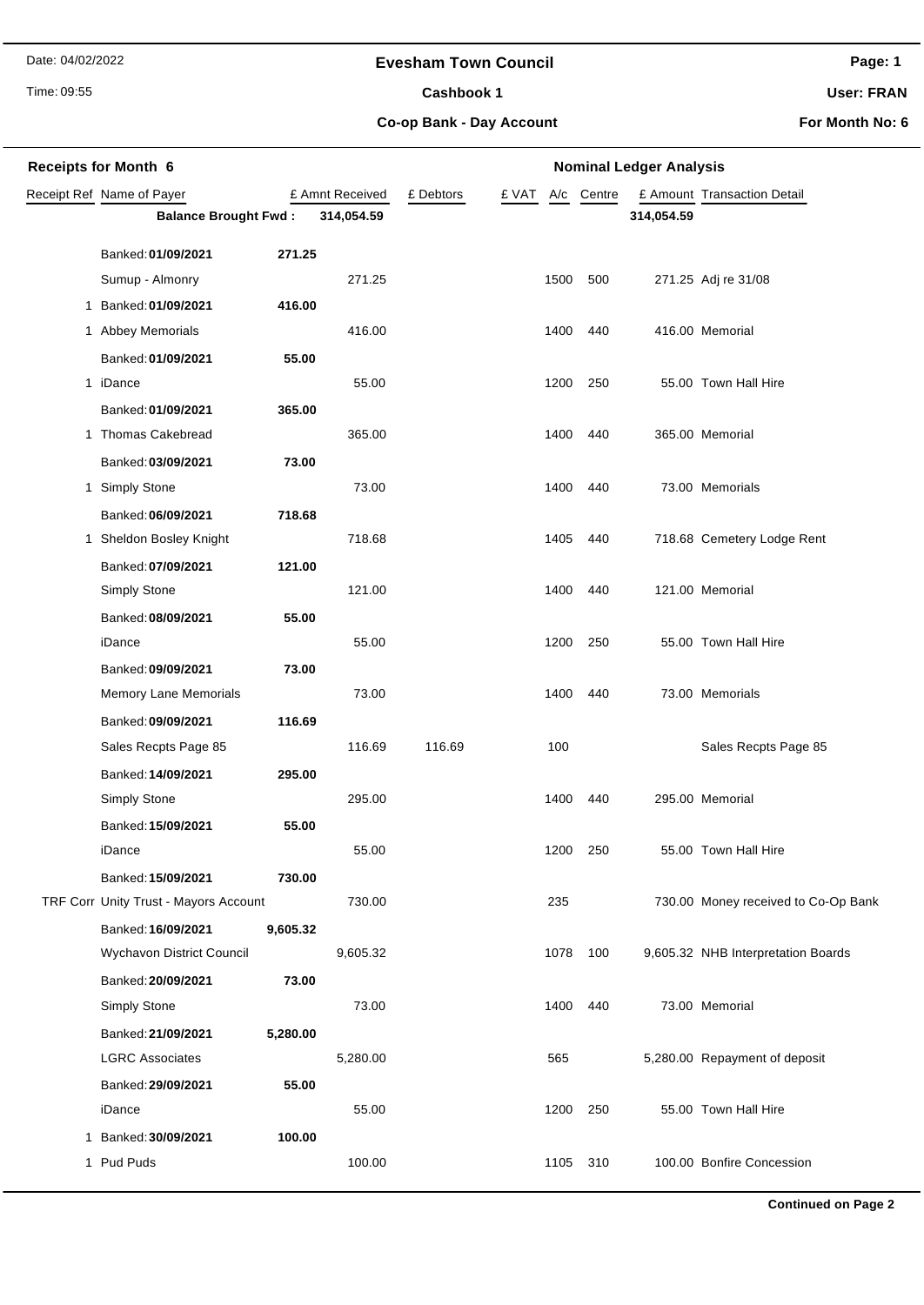Date: 04/02/2022

#### **Evesham Town Council**

Time: 09:55

## Cashbook 1

**Page: 1**

**User: FRAN**

**Co-op Bank - Day Account**

**For Month No: 6**

| <b>Receipts for Month 6</b> |                                              |          |                 | <b>Nominal Ledger Analysis</b> |       |      |          |            |                                     |  |
|-----------------------------|----------------------------------------------|----------|-----------------|--------------------------------|-------|------|----------|------------|-------------------------------------|--|
|                             | Receipt Ref Name of Payer                    |          | £ Amnt Received | £ Debtors                      | £ VAT | A/c  | Centre   |            | £ Amount Transaction Detail         |  |
|                             | <b>Balance Brought Fwd:</b>                  |          | 314,054.59      |                                |       |      |          | 314,054.59 |                                     |  |
|                             | Banked: 01/09/2021                           |          |                 |                                |       |      |          |            |                                     |  |
|                             | Sumup - Almonry                              |          | 271.25          |                                |       | 1500 | 500      |            | 271.25 Adj re 31/08                 |  |
|                             | 1 Banked: 01/09/2021                         | 416.00   |                 |                                |       |      |          |            |                                     |  |
|                             | 1 Abbey Memorials                            |          | 416.00          |                                |       | 1400 | 440      |            | 416.00 Memorial                     |  |
|                             | Banked: 01/09/2021                           | 55.00    |                 |                                |       |      |          |            |                                     |  |
|                             | 1 iDance                                     |          | 55.00           |                                |       | 1200 | 250      |            | 55.00 Town Hall Hire                |  |
|                             | Banked: 01/09/2021                           | 365.00   |                 |                                |       |      |          |            |                                     |  |
|                             | 1 Thomas Cakebread                           |          | 365.00          |                                |       | 1400 | 440      |            | 365.00 Memorial                     |  |
|                             | Banked: 03/09/2021                           | 73.00    |                 |                                |       |      |          |            |                                     |  |
|                             | 1 Simply Stone                               |          | 73.00           |                                |       | 1400 | 440      |            | 73.00 Memorials                     |  |
|                             | Banked: 06/09/2021                           | 718.68   |                 |                                |       |      |          |            |                                     |  |
|                             | 1 Sheldon Bosley Knight                      |          | 718.68          |                                |       | 1405 | 440      |            | 718.68 Cemetery Lodge Rent          |  |
|                             | Banked: 07/09/2021                           | 121.00   |                 |                                |       |      |          |            |                                     |  |
|                             | Simply Stone                                 |          | 121.00          |                                |       | 1400 | 440      |            | 121.00 Memorial                     |  |
|                             | Banked: 08/09/2021                           | 55.00    |                 |                                |       |      |          |            |                                     |  |
|                             | iDance                                       |          | 55.00           |                                |       | 1200 | 250      |            | 55.00 Town Hall Hire                |  |
|                             | Banked: 09/09/2021                           | 73.00    |                 |                                |       |      |          |            |                                     |  |
|                             | <b>Memory Lane Memorials</b>                 |          | 73.00           |                                |       | 1400 | 440      |            | 73.00 Memorials                     |  |
|                             | Banked: 09/09/2021                           | 116.69   |                 |                                |       |      |          |            |                                     |  |
|                             | Sales Recpts Page 85                         |          | 116.69          | 116.69                         |       | 100  |          |            | Sales Recpts Page 85                |  |
|                             | Banked: 14/09/2021                           | 295.00   |                 |                                |       |      |          |            |                                     |  |
|                             | <b>Simply Stone</b>                          |          | 295.00          |                                |       | 1400 | 440      |            | 295.00 Memorial                     |  |
|                             | Banked: 15/09/2021                           | 55.00    |                 |                                |       |      |          |            |                                     |  |
|                             | iDance                                       |          | 55.00           |                                |       |      | 1200 250 |            | 55.00 Town Hall Hire                |  |
|                             | Banked: 15/09/2021                           | 730.00   |                 |                                |       |      |          |            |                                     |  |
|                             | TRF Corr Unity Trust - Mayors Account        |          | 730.00          |                                |       | 235  |          |            | 730.00 Money received to Co-Op Bank |  |
|                             | Banked: 16/09/2021                           | 9,605.32 |                 |                                |       | 1078 | 100      |            |                                     |  |
|                             | Wychavon District Council                    |          | 9,605.32        |                                |       |      |          |            | 9,605.32 NHB Interpretation Boards  |  |
|                             | Banked: 20/09/2021<br>Simply Stone           | 73.00    | 73.00           |                                |       | 1400 | 440      |            | 73.00 Memorial                      |  |
|                             |                                              |          |                 |                                |       |      |          |            |                                     |  |
|                             | Banked: 21/09/2021<br><b>LGRC Associates</b> | 5,280.00 | 5,280.00        |                                |       | 565  |          |            | 5,280.00 Repayment of deposit       |  |
|                             | Banked: 29/09/2021                           | 55.00    |                 |                                |       |      |          |            |                                     |  |
|                             | iDance                                       |          | 55.00           |                                |       | 1200 | 250      |            | 55.00 Town Hall Hire                |  |
|                             | 1 Banked: 30/09/2021                         | 100.00   |                 |                                |       |      |          |            |                                     |  |
|                             | 1 Pud Puds                                   |          | 100.00          |                                |       | 1105 | 310      |            | 100.00 Bonfire Concession           |  |
|                             |                                              |          |                 |                                |       |      |          |            |                                     |  |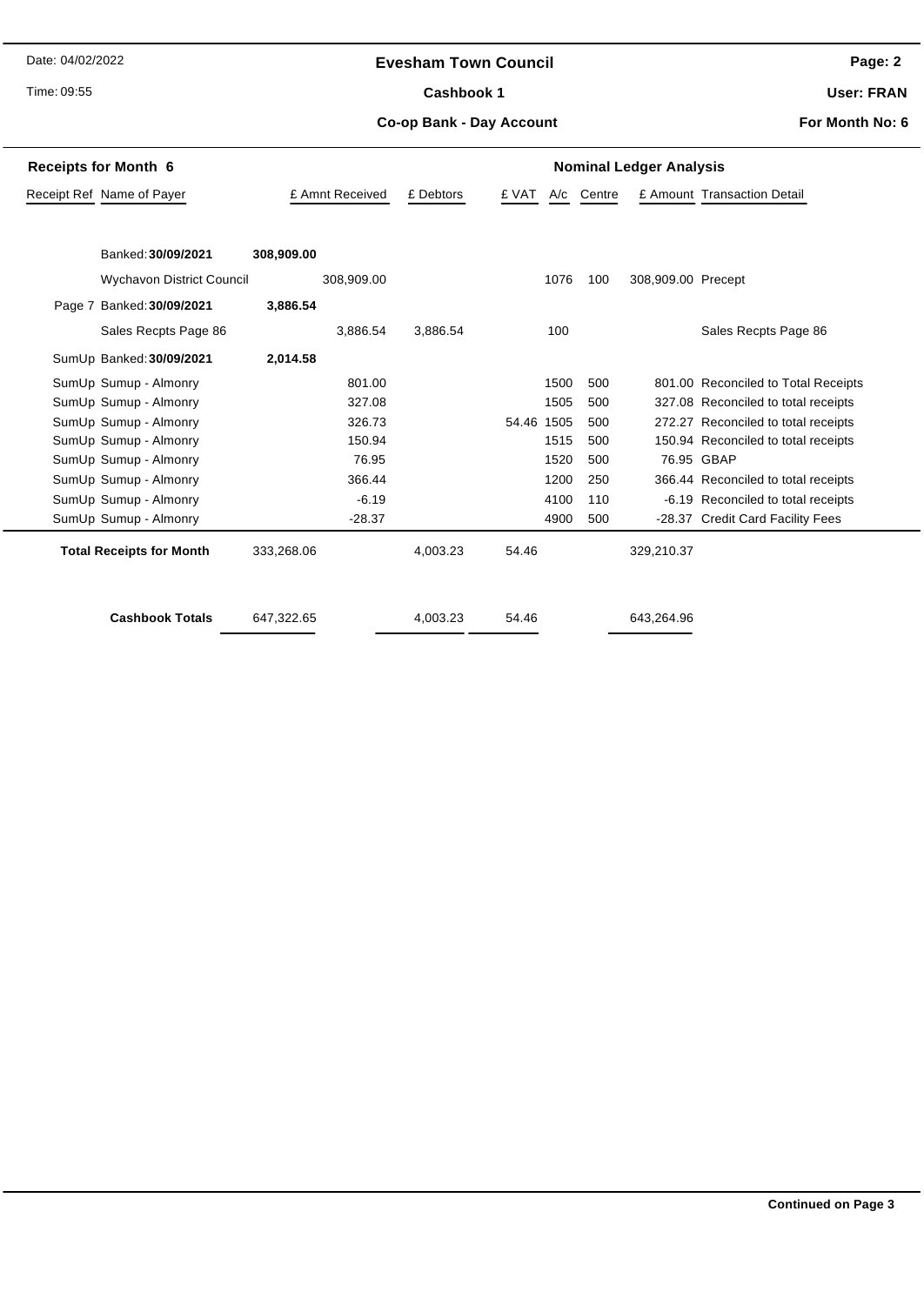Date: 04/02/2022

Time: 09:55

#### **Evesham Town Council**

Cashbook 1

**Page: 2**

**User: FRAN**

**Co-op Bank - Day Account**

**For Month No: 6**

| <b>Receipts for Month 6</b>      | <b>Nominal Ledger Analysis</b> |           |            |      |            |                    |                                     |  |
|----------------------------------|--------------------------------|-----------|------------|------|------------|--------------------|-------------------------------------|--|
| Receipt Ref Name of Payer        | £ Amnt Received                | £ Debtors | £ VAT      |      | A/c Centre |                    | £ Amount Transaction Detail         |  |
|                                  |                                |           |            |      |            |                    |                                     |  |
| Banked: 30/09/2021               |                                |           |            |      |            |                    |                                     |  |
|                                  | 308,909.00                     |           |            |      |            |                    |                                     |  |
| <b>Wychavon District Council</b> | 308,909.00                     |           |            | 1076 | 100        | 308,909.00 Precept |                                     |  |
| Page 7 Banked: 30/09/2021        | 3,886.54                       |           |            |      |            |                    |                                     |  |
| Sales Recpts Page 86             | 3.886.54                       | 3.886.54  |            | 100  |            |                    | Sales Recpts Page 86                |  |
| SumUp Banked: 30/09/2021         | 2,014.58                       |           |            |      |            |                    |                                     |  |
| SumUp Sumup - Almonry            | 801.00                         |           |            | 1500 | 500        |                    | 801.00 Reconciled to Total Receipts |  |
| SumUp Sumup - Almonry            | 327.08                         |           |            | 1505 | 500        |                    | 327.08 Reconciled to total receipts |  |
| SumUp Sumup - Almonry            | 326.73                         |           | 54.46 1505 |      | 500        |                    | 272.27 Reconciled to total receipts |  |
| SumUp Sumup - Almonry            | 150.94                         |           |            | 1515 | 500        |                    | 150.94 Reconciled to total receipts |  |
| SumUp Sumup - Almonry            | 76.95                          |           |            | 1520 | 500        |                    | 76.95 GBAP                          |  |
| SumUp Sumup - Almonry            | 366.44                         |           |            | 1200 | 250        |                    | 366.44 Reconciled to total receipts |  |
| SumUp Sumup - Almonry            | $-6.19$                        |           |            | 4100 | 110        |                    | -6.19 Reconciled to total receipts  |  |
| SumUp Sumup - Almonry            | $-28.37$                       |           |            | 4900 | 500        |                    | -28.37 Credit Card Facility Fees    |  |
| <b>Total Receipts for Month</b>  | 333,268.06                     | 4,003.23  | 54.46      |      |            | 329,210.37         |                                     |  |
| <b>Cashbook Totals</b>           | 647,322.65                     | 4,003.23  | 54.46      |      |            | 643,264.96         |                                     |  |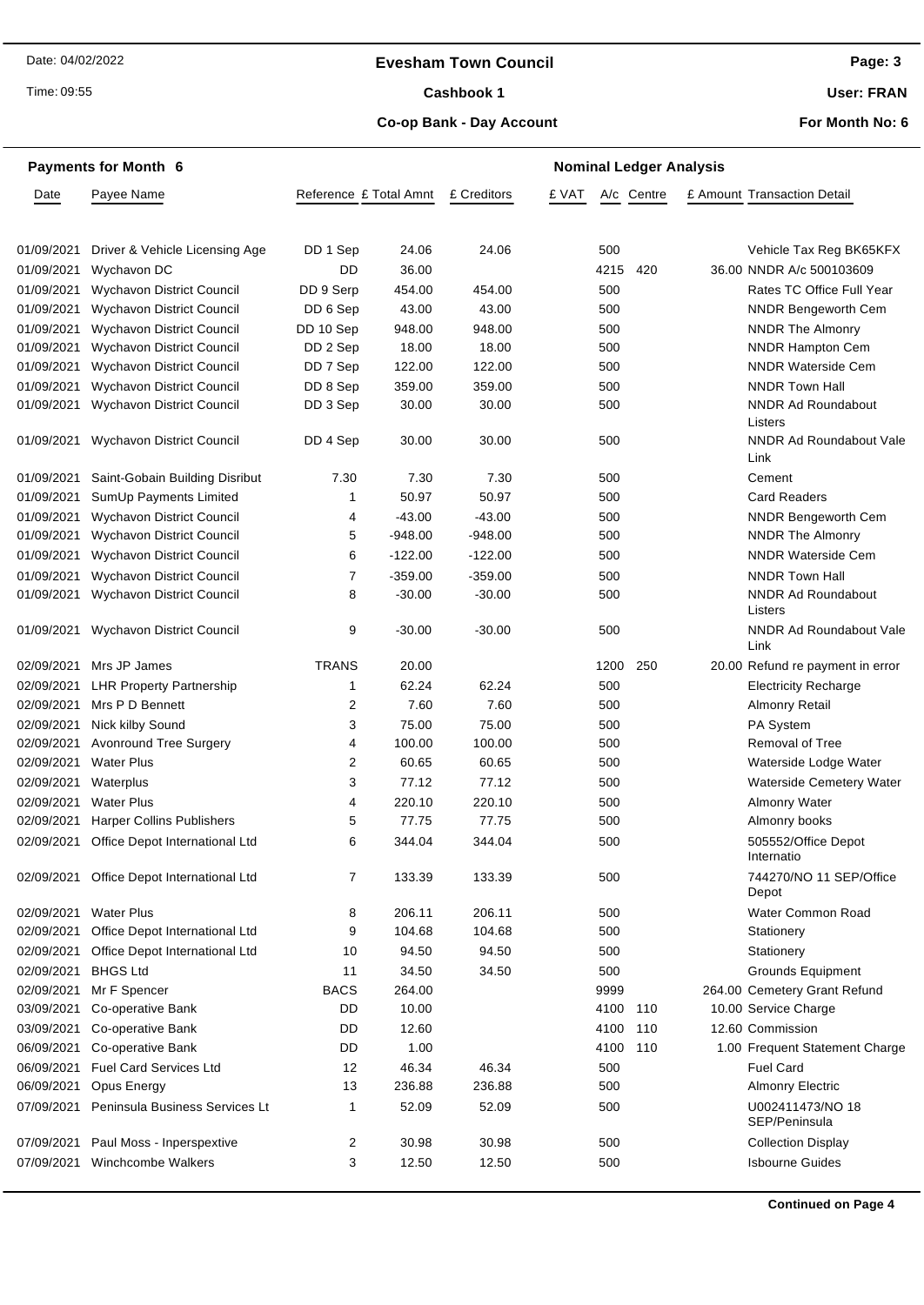#### **Evesham Town Council**

Time: 09:55

#### Cashbook 1

**Page: 3**

**User: FRAN**

## **Co-op Bank - Day Account**

**For Month No: 6**

|                          | <b>Payments for Month 6</b>                           |                        | <b>Nominal Ledger Analysis</b> |                 |       |            |            |  |                                        |
|--------------------------|-------------------------------------------------------|------------------------|--------------------------------|-----------------|-------|------------|------------|--|----------------------------------------|
| Date                     | Payee Name                                            | Reference £ Total Amnt |                                | £ Creditors     | £ VAT |            | A/c Centre |  | £ Amount Transaction Detail            |
|                          |                                                       |                        |                                |                 |       |            |            |  |                                        |
|                          |                                                       |                        |                                |                 |       |            |            |  |                                        |
| 01/09/2021               | Driver & Vehicle Licensing Age                        | DD 1 Sep               | 24.06                          | 24.06           |       | 500        |            |  | Vehicle Tax Reg BK65KFX                |
| 01/09/2021               | Wychavon DC                                           | DD                     | 36.00                          |                 |       | 4215       | 420        |  | 36.00 NNDR A/c 500103609               |
| 01/09/2021               | Wychavon District Council                             | DD 9 Serp              | 454.00                         | 454.00          |       | 500        |            |  | Rates TC Office Full Year              |
| 01/09/2021               | Wychavon District Council                             | DD 6 Sep               | 43.00                          | 43.00           |       | 500        |            |  | <b>NNDR Bengeworth Cem</b>             |
| 01/09/2021               | Wychavon District Council                             | DD 10 Sep              | 948.00                         | 948.00          |       | 500        |            |  | <b>NNDR The Almonry</b>                |
| 01/09/2021               | <b>Wychavon District Council</b>                      | DD 2 Sep               | 18.00                          | 18.00           |       | 500        |            |  | NNDR Hampton Cem                       |
| 01/09/2021               | Wychavon District Council                             | DD 7 Sep               | 122.00                         | 122.00          |       | 500        |            |  | <b>NNDR Waterside Cem</b>              |
| 01/09/2021               | <b>Wychavon District Council</b>                      | DD 8 Sep               | 359.00                         | 359.00          |       | 500        |            |  | <b>NNDR Town Hall</b>                  |
| 01/09/2021               | Wychavon District Council                             | DD 3 Sep               | 30.00                          | 30.00           |       | 500        |            |  | <b>NNDR Ad Roundabout</b><br>Listers   |
|                          | 01/09/2021 Wychavon District Council                  | DD 4 Sep               | 30.00                          | 30.00           |       | 500        |            |  | NNDR Ad Roundabout Vale<br>Link        |
| 01/09/2021               | Saint-Gobain Building Disribut                        | 7.30                   | 7.30                           | 7.30            |       | 500        |            |  | Cement                                 |
| 01/09/2021               | SumUp Payments Limited                                | 1                      | 50.97                          | 50.97           |       | 500        |            |  | <b>Card Readers</b>                    |
| 01/09/2021               | <b>Wychavon District Council</b>                      | 4                      | $-43.00$                       | $-43.00$        |       | 500        |            |  | <b>NNDR Bengeworth Cem</b>             |
| 01/09/2021               | Wychavon District Council                             | 5                      | $-948.00$                      | $-948.00$       |       | 500        |            |  | NNDR The Almonry                       |
| 01/09/2021               | <b>Wychavon District Council</b>                      | 6                      | $-122.00$                      | $-122.00$       |       | 500        |            |  | <b>NNDR Waterside Cem</b>              |
| 01/09/2021               | <b>Wychavon District Council</b>                      | $\overline{7}$         | $-359.00$                      | $-359.00$       |       | 500        |            |  | <b>NNDR Town Hall</b>                  |
| 01/09/2021               | Wychavon District Council                             | 8                      | $-30.00$                       | $-30.00$        |       | 500        |            |  | <b>NNDR Ad Roundabout</b><br>Listers   |
| 01/09/2021               | Wychavon District Council                             | 9                      | $-30.00$                       | $-30.00$        |       | 500        |            |  | <b>NNDR Ad Roundabout Vale</b><br>Link |
| 02/09/2021               | Mrs JP James                                          | <b>TRANS</b>           | 20.00                          |                 |       | 1200       | 250        |  | 20.00 Refund re payment in error       |
| 02/09/2021               | <b>LHR Property Partnership</b>                       | 1                      | 62.24                          | 62.24           |       | 500        |            |  | <b>Electricity Recharge</b>            |
| 02/09/2021               | Mrs P D Bennett                                       | 2                      | 7.60                           | 7.60            |       | 500        |            |  | <b>Almonry Retail</b>                  |
| 02/09/2021               | Nick kilby Sound                                      | 3                      | 75.00                          | 75.00           |       | 500        |            |  | PA System                              |
| 02/09/2021               | <b>Avonround Tree Surgery</b>                         | 4                      | 100.00                         | 100.00          |       | 500        |            |  | <b>Removal of Tree</b>                 |
| 02/09/2021 Water Plus    |                                                       | 2                      | 60.65                          | 60.65           |       | 500        |            |  | Waterside Lodge Water                  |
| 02/09/2021               | Waterplus                                             | 3                      | 77.12                          | 77.12           |       | 500        |            |  | Waterside Cemetery Water               |
|                          |                                                       |                        |                                |                 |       |            |            |  |                                        |
| 02/09/2021<br>02/09/2021 | <b>Water Plus</b><br><b>Harper Collins Publishers</b> | 4<br>5                 | 220.10<br>77.75                | 220.10<br>77.75 |       | 500<br>500 |            |  | <b>Almonry Water</b>                   |
|                          |                                                       |                        |                                |                 |       |            |            |  | Almonry books                          |
|                          | 02/09/2021 Office Depot International Ltd             | 6                      | 344.04                         | 344.04          |       | 500        |            |  | 505552/Office Depot<br>Internatio      |
|                          | 02/09/2021 Office Depot International Ltd             | 7                      | 133.39                         | 133.39          |       | 500        |            |  | 744270/NO 11 SEP/Office<br>Depot       |
| 02/09/2021               | <b>Water Plus</b>                                     | 8                      | 206.11                         | 206.11          |       | 500        |            |  | Water Common Road                      |
| 02/09/2021               | Office Depot International Ltd                        | 9                      | 104.68                         | 104.68          |       | 500        |            |  | Stationery                             |
| 02/09/2021               | Office Depot International Ltd                        | 10                     | 94.50                          | 94.50           |       | 500        |            |  | Stationery                             |
| 02/09/2021               | <b>BHGS Ltd</b>                                       | 11                     | 34.50                          | 34.50           |       | 500        |            |  | Grounds Equipment                      |
| 02/09/2021               | Mr F Spencer                                          | <b>BACS</b>            | 264.00                         |                 |       | 9999       |            |  | 264.00 Cemetery Grant Refund           |
| 03/09/2021               | Co-operative Bank                                     | DD                     | 10.00                          |                 |       | 4100       | 110        |  | 10.00 Service Charge                   |
| 03/09/2021               | Co-operative Bank                                     | DD                     | 12.60                          |                 |       | 4100       | 110        |  | 12.60 Commission                       |
| 06/09/2021               | Co-operative Bank                                     | DD                     | 1.00                           |                 |       | 4100       | 110        |  | 1.00 Frequent Statement Charge         |
| 06/09/2021               | <b>Fuel Card Services Ltd</b>                         | 12                     | 46.34                          | 46.34           |       | 500        |            |  | <b>Fuel Card</b>                       |
| 06/09/2021               | Opus Energy                                           | 13                     | 236.88                         | 236.88          |       | 500        |            |  | <b>Almonry Electric</b>                |
| 07/09/2021               | Peninsula Business Services Lt                        | 1                      | 52.09                          | 52.09           |       | 500        |            |  | U002411473/NO 18<br>SEP/Peninsula      |
| 07/09/2021               | Paul Moss - Inperspextive                             | 2                      | 30.98                          | 30.98           |       | 500        |            |  | <b>Collection Display</b>              |
| 07/09/2021               | Winchcombe Walkers                                    | 3                      | 12.50                          | 12.50           |       | 500        |            |  | <b>Isbourne Guides</b>                 |
|                          |                                                       |                        |                                |                 |       |            |            |  |                                        |

**Continued on Page 4**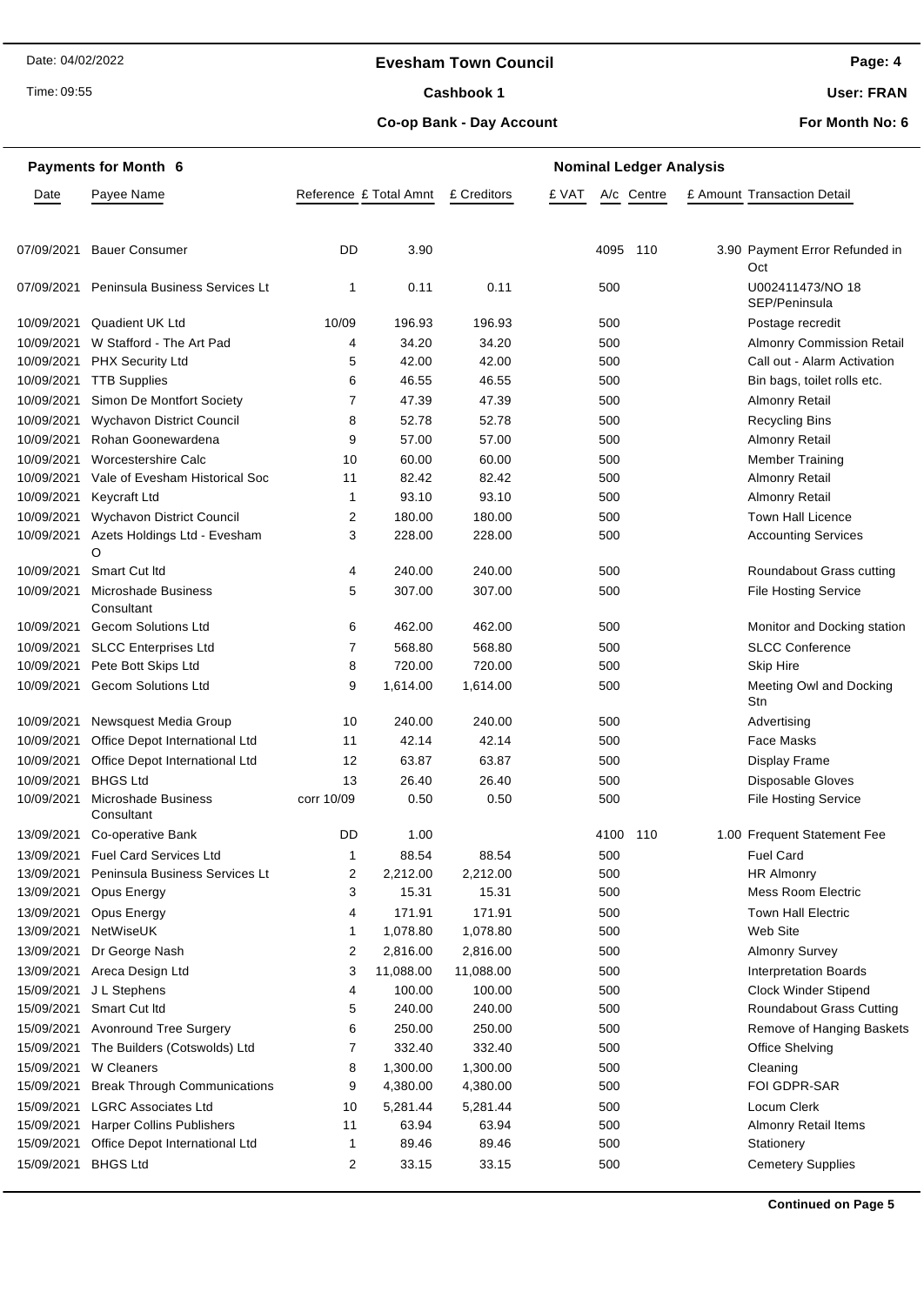#### **Evesham Town Council**

Time: 09:55

# Cashbook 1

**Page: 4**

**User: FRAN**

**Co-op Bank - Day Account**

**For Month No: 6**

|            | <b>Payments for Month 6</b>         |                        |           | <b>Nominal Ledger Analysis</b> |       |      |            |  |                                   |  |  |
|------------|-------------------------------------|------------------------|-----------|--------------------------------|-------|------|------------|--|-----------------------------------|--|--|
| Date       | Payee Name                          | Reference £ Total Amnt |           | £ Creditors                    | £ VAT |      | A/c Centre |  | £ Amount Transaction Detail       |  |  |
| 07/09/2021 | <b>Bauer Consumer</b>               | DD                     | 3.90      |                                |       | 4095 | 110        |  | 3.90 Payment Error Refunded in    |  |  |
|            |                                     |                        |           |                                |       |      |            |  | Oct                               |  |  |
| 07/09/2021 | Peninsula Business Services Lt      | 1                      | 0.11      | 0.11                           |       | 500  |            |  | U002411473/NO 18<br>SEP/Peninsula |  |  |
| 10/09/2021 | Quadient UK Ltd                     | 10/09                  | 196.93    | 196.93                         |       | 500  |            |  | Postage recredit                  |  |  |
| 10/09/2021 | W Stafford - The Art Pad            | 4                      | 34.20     | 34.20                          |       | 500  |            |  | <b>Almonry Commission Retail</b>  |  |  |
| 10/09/2021 | <b>PHX Security Ltd</b>             | 5                      | 42.00     | 42.00                          |       | 500  |            |  | Call out - Alarm Activation       |  |  |
| 10/09/2021 | <b>TTB Supplies</b>                 | 6                      | 46.55     | 46.55                          |       | 500  |            |  | Bin bags, toilet rolls etc.       |  |  |
| 10/09/2021 | Simon De Montfort Society           | 7                      | 47.39     | 47.39                          |       | 500  |            |  | <b>Almonry Retail</b>             |  |  |
| 10/09/2021 | <b>Wychavon District Council</b>    | 8                      | 52.78     | 52.78                          |       | 500  |            |  | <b>Recycling Bins</b>             |  |  |
| 10/09/2021 | Rohan Goonewardena                  | 9                      | 57.00     | 57.00                          |       | 500  |            |  | <b>Almonry Retail</b>             |  |  |
| 10/09/2021 | Worcestershire Calc                 | 10                     | 60.00     | 60.00                          |       | 500  |            |  | <b>Member Training</b>            |  |  |
| 10/09/2021 | Vale of Evesham Historical Soc      | 11                     | 82.42     | 82.42                          |       | 500  |            |  | <b>Almonry Retail</b>             |  |  |
| 10/09/2021 | <b>Keycraft Ltd</b>                 | 1                      | 93.10     | 93.10                          |       | 500  |            |  | <b>Almonry Retail</b>             |  |  |
| 10/09/2021 | Wychavon District Council           | 2                      | 180.00    | 180.00                         |       | 500  |            |  | Town Hall Licence                 |  |  |
| 10/09/2021 | Azets Holdings Ltd - Evesham<br>O   | 3                      | 228.00    | 228.00                         |       | 500  |            |  | <b>Accounting Services</b>        |  |  |
| 10/09/2021 | Smart Cut Itd                       | 4                      | 240.00    | 240.00                         |       | 500  |            |  | Roundabout Grass cutting          |  |  |
| 10/09/2021 | Microshade Business<br>Consultant   | 5                      | 307.00    | 307.00                         |       | 500  |            |  | <b>File Hosting Service</b>       |  |  |
| 10/09/2021 | <b>Gecom Solutions Ltd</b>          | 6                      | 462.00    | 462.00                         |       | 500  |            |  | Monitor and Docking station       |  |  |
| 10/09/2021 | <b>SLCC Enterprises Ltd</b>         | 7                      | 568.80    | 568.80                         |       | 500  |            |  | <b>SLCC Conference</b>            |  |  |
| 10/09/2021 | Pete Bott Skips Ltd                 | 8                      | 720.00    | 720.00                         |       | 500  |            |  | <b>Skip Hire</b>                  |  |  |
|            | 10/09/2021 Gecom Solutions Ltd      | 9                      | 1,614.00  | 1,614.00                       |       | 500  |            |  | Meeting Owl and Docking<br>Stn    |  |  |
| 10/09/2021 | Newsquest Media Group               | 10                     | 240.00    | 240.00                         |       | 500  |            |  | Advertising                       |  |  |
| 10/09/2021 | Office Depot International Ltd      | 11                     | 42.14     | 42.14                          |       | 500  |            |  | <b>Face Masks</b>                 |  |  |
| 10/09/2021 | Office Depot International Ltd      | 12                     | 63.87     | 63.87                          |       | 500  |            |  | Display Frame                     |  |  |
| 10/09/2021 | <b>BHGS Ltd</b>                     | 13                     | 26.40     | 26.40                          |       | 500  |            |  | Disposable Gloves                 |  |  |
| 10/09/2021 | Microshade Business<br>Consultant   | corr 10/09             | 0.50      | 0.50                           |       | 500  |            |  | <b>File Hosting Service</b>       |  |  |
|            | 13/09/2021 Co-operative Bank        | DD                     | 1.00      |                                |       | 4100 | 110        |  | 1.00 Frequent Statement Fee       |  |  |
|            | 13/09/2021 Fuel Card Services Ltd   | 1                      | 88.54     | 88.54                          |       | 500  |            |  | <b>Fuel Card</b>                  |  |  |
| 13/09/2021 | Peninsula Business Services Lt      | 2                      | 2,212.00  | 2,212.00                       |       | 500  |            |  | <b>HR Almonry</b>                 |  |  |
| 13/09/2021 | Opus Energy                         | 3                      | 15.31     | 15.31                          |       | 500  |            |  | <b>Mess Room Electric</b>         |  |  |
| 13/09/2021 | Opus Energy                         | 4                      | 171.91    | 171.91                         |       | 500  |            |  | <b>Town Hall Electric</b>         |  |  |
| 13/09/2021 | NetWiseUK                           | 1                      | 1,078.80  | 1,078.80                       |       | 500  |            |  | Web Site                          |  |  |
| 13/09/2021 | Dr George Nash                      | $\overline{2}$         | 2,816.00  | 2,816.00                       |       | 500  |            |  | <b>Almonry Survey</b>             |  |  |
| 13/09/2021 | Areca Design Ltd                    | 3                      | 11,088.00 | 11,088.00                      |       | 500  |            |  | <b>Interpretation Boards</b>      |  |  |
| 15/09/2021 | J L Stephens                        | 4                      | 100.00    | 100.00                         |       | 500  |            |  | <b>Clock Winder Stipend</b>       |  |  |
| 15/09/2021 | Smart Cut Itd                       | 5                      | 240.00    | 240.00                         |       | 500  |            |  | Roundabout Grass Cutting          |  |  |
| 15/09/2021 | <b>Avonround Tree Surgery</b>       | 6                      | 250.00    | 250.00                         |       | 500  |            |  | Remove of Hanging Baskets         |  |  |
| 15/09/2021 | The Builders (Cotswolds) Ltd        | $\overline{7}$         | 332.40    | 332.40                         |       | 500  |            |  | Office Shelving                   |  |  |
| 15/09/2021 | W Cleaners                          | 8                      | 1,300.00  | 1,300.00                       |       | 500  |            |  | Cleaning                          |  |  |
| 15/09/2021 | <b>Break Through Communications</b> | 9                      | 4,380.00  | 4,380.00                       |       | 500  |            |  | FOI GDPR-SAR                      |  |  |
| 15/09/2021 | <b>LGRC Associates Ltd</b>          | 10                     | 5,281.44  | 5,281.44                       |       | 500  |            |  | Locum Clerk                       |  |  |
| 15/09/2021 | <b>Harper Collins Publishers</b>    | 11                     | 63.94     | 63.94                          |       | 500  |            |  | Almonry Retail Items              |  |  |
| 15/09/2021 | Office Depot International Ltd      | 1                      | 89.46     | 89.46                          |       | 500  |            |  | Stationery                        |  |  |
| 15/09/2021 | <b>BHGS Ltd</b>                     | 2                      | 33.15     | 33.15                          |       | 500  |            |  | <b>Cemetery Supplies</b>          |  |  |

**Continued on Page 5**